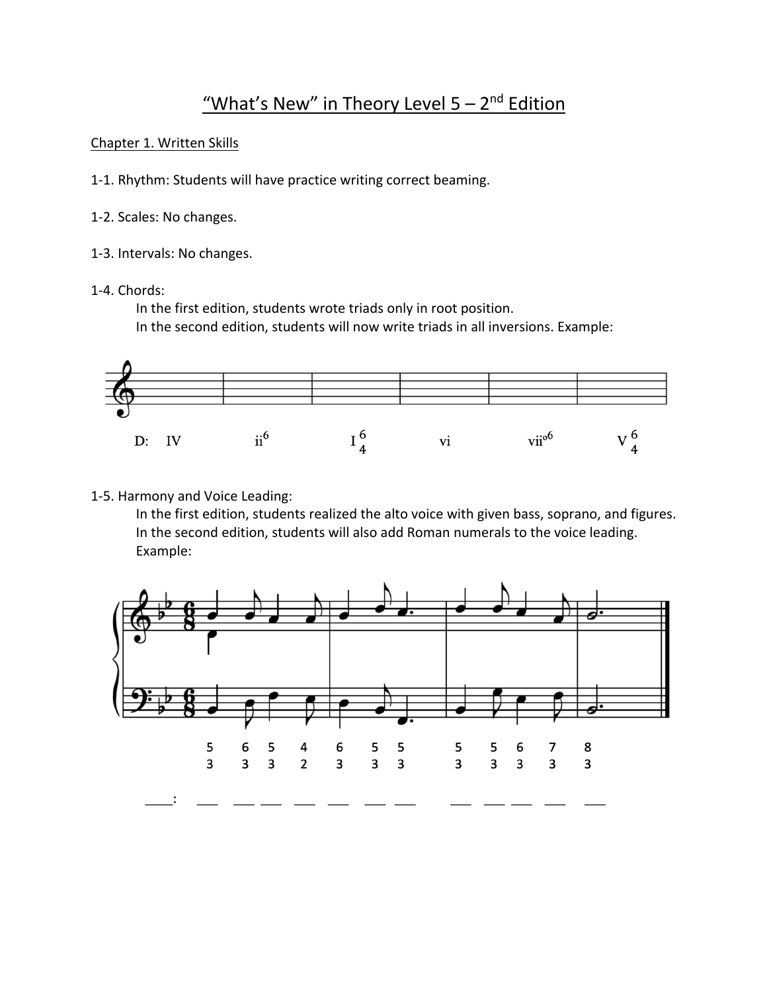# "What's New" in Theory Level  $5 - 2^{nd}$  Edition

## Chapter 1. Written Skills

- 1-1. Rhythm: Students will have practice writing correct beaming.
- 1-2. Scales: No changes.
- 1-3. Intervals: No changes.
- 1-4. Chords:

In the first edition, students wrote triads only in root position.

In the second edition, students will now write triads in all inversions. Example:



# 1-5. Harmony and Voice Leading:

In the first edition, students realized the alto voice with given bass, soprano, and figures. In the second edition, students will also add Roman numerals to the voice leading. Example:

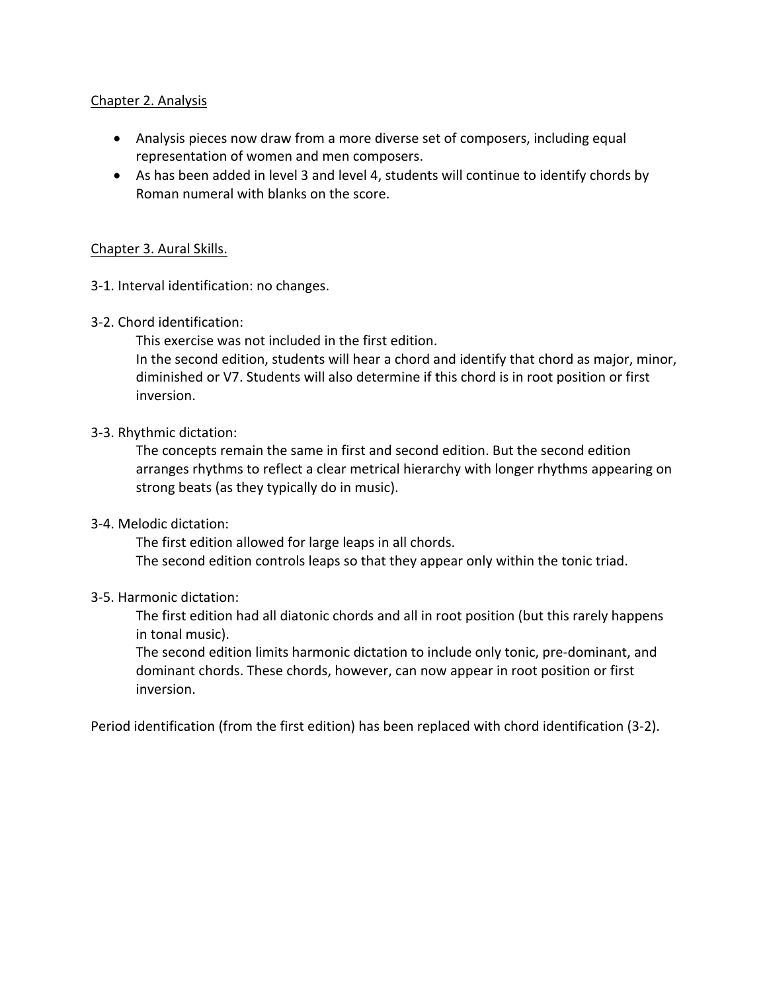## Chapter 2. Analysis

- Analysis pieces now draw from a more diverse set of composers, including equal representation of women and men composers.
- As has been added in level 3 and level 4, students will continue to identify chords by Roman numeral with blanks on the score.

### Chapter 3. Aural Skills.

- 3-1. Interval identification: no changes.
- 3-2. Chord identification:

This exercise was not included in the first edition.

In the second edition, students will hear a chord and identify that chord as major, minor, diminished or V7. Students will also determine if this chord is in root position or first inversion.

## 3-3. Rhythmic dictation:

The concepts remain the same in first and second edition. But the second edition arranges rhythms to reflect a clear metrical hierarchy with longer rhythms appearing on strong beats (as they typically do in music).

### 3-4. Melodic dictation:

The first edition allowed for large leaps in all chords. The second edition controls leaps so that they appear only within the tonic triad.

### 3-5. Harmonic dictation:

The first edition had all diatonic chords and all in root position (but this rarely happens in tonal music).

The second edition limits harmonic dictation to include only tonic, pre-dominant, and dominant chords. These chords, however, can now appear in root position or first inversion.

Period identification (from the first edition) has been replaced with chord identification (3-2).